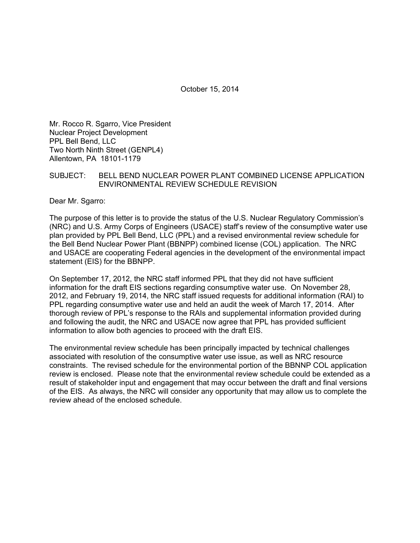October 15, 2014

Mr. Rocco R. Sgarro, Vice President Nuclear Project Development PPL Bell Bend, LLC Two North Ninth Street (GENPL4) Allentown, PA 18101-1179

# SUBJECT: BELL BEND NUCLEAR POWER PLANT COMBINED LICENSE APPLICATION ENVIRONMENTAL REVIEW SCHEDULE REVISION

Dear Mr. Sgarro:

The purpose of this letter is to provide the status of the U.S. Nuclear Regulatory Commission's (NRC) and U.S. Army Corps of Engineers (USACE) staff's review of the consumptive water use plan provided by PPL Bell Bend, LLC (PPL) and a revised environmental review schedule for the Bell Bend Nuclear Power Plant (BBNPP) combined license (COL) application. The NRC and USACE are cooperating Federal agencies in the development of the environmental impact statement (EIS) for the BBNPP.

On September 17, 2012, the NRC staff informed PPL that they did not have sufficient information for the draft EIS sections regarding consumptive water use. On November 28, 2012, and February 19, 2014, the NRC staff issued requests for additional information (RAI) to PPL regarding consumptive water use and held an audit the week of March 17, 2014. After thorough review of PPL's response to the RAIs and supplemental information provided during and following the audit, the NRC and USACE now agree that PPL has provided sufficient information to allow both agencies to proceed with the draft EIS.

The environmental review schedule has been principally impacted by technical challenges associated with resolution of the consumptive water use issue, as well as NRC resource constraints. The revised schedule for the environmental portion of the BBNNP COL application review is enclosed. Please note that the environmental review schedule could be extended as a result of stakeholder input and engagement that may occur between the draft and final versions of the EIS. As always, the NRC will consider any opportunity that may allow us to complete the review ahead of the enclosed schedule.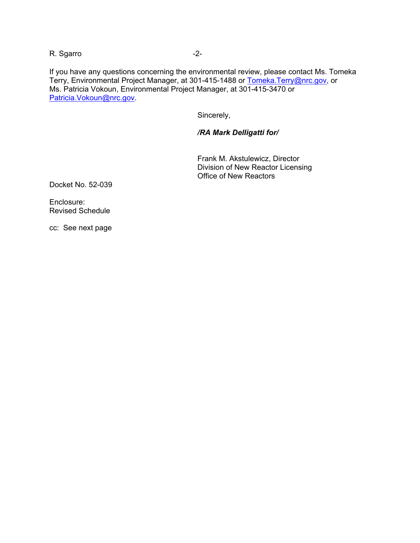R. Sgarro  $-2$ -

If you have any questions concerning the environmental review, please contact Ms. Tomeka Terry, Environmental Project Manager, at 301-415-1488 or Tomeka.Terry@nrc.gov, or Ms. Patricia Vokoun, Environmental Project Manager, at 301-415-3470 or Patricia.Vokoun@nrc.gov.

Sincerely,

# */RA Mark Delligatti for/*

Frank M. Akstulewicz, Director Division of New Reactor Licensing Office of New Reactors

Docket No. 52-039

Enclosure: Revised Schedule

cc: See next page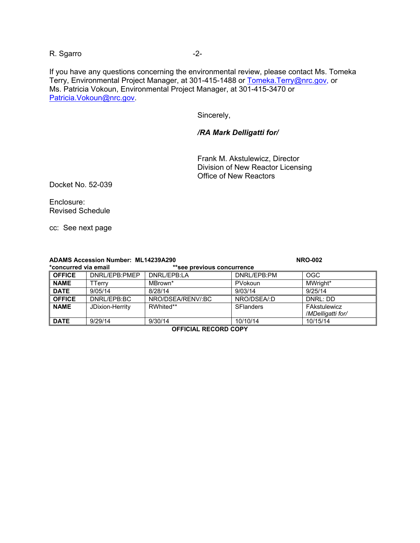R. Sgarro -2-

If you have any questions concerning the environmental review, please contact Ms. Tomeka Terry, Environmental Project Manager, at 301-415-1488 or Tomeka.Terry@nrc.gov, or Ms. Patricia Vokoun, Environmental Project Manager, at 301-415-3470 or Patricia.Vokoun@nrc.gov.

Sincerely,

#### */RA Mark Delligatti for/*

Frank M. Akstulewicz, Director Division of New Reactor Licensing Office of New Reactors

Docket No. 52-039

Enclosure: Revised Schedule

cc: See next page

| <b>ADAMS Accession Number: ML14239A290</b> |                 |                            | <b>NRO-002</b>   |                   |
|--------------------------------------------|-----------------|----------------------------|------------------|-------------------|
| *concurred via email                       |                 | **see previous concurrence |                  |                   |
| <b>OFFICE</b>                              | DNRL/EPB:PMEP   | DNRL/EPB:LA                | DNRL/EPB:PM      | <b>OGC</b>        |
| <b>NAME</b>                                | TTerrv          | MBrown*                    | PVokoun          | MWright*          |
| <b>DATE</b>                                | 9/05/14         | 8/28/14                    | 9/03/14          | 9/25/14           |
| <b>OFFICE</b>                              | DNRL/EPB:BC     | NRO/DSEA/RENV/:BC          | NRO/DSEA/:D      | DNRI: DD          |
| <b>NAME</b>                                | JDixion-Herrity | RWhited**                  | <b>SFlanders</b> | FAkstulewicz      |
|                                            |                 |                            |                  | /MDelligatti for/ |
| <b>DATE</b>                                | 9/29/14         | 9/30/14                    | 10/10/14         | 10/15/14          |

**OFFICIAL RECORD COPY**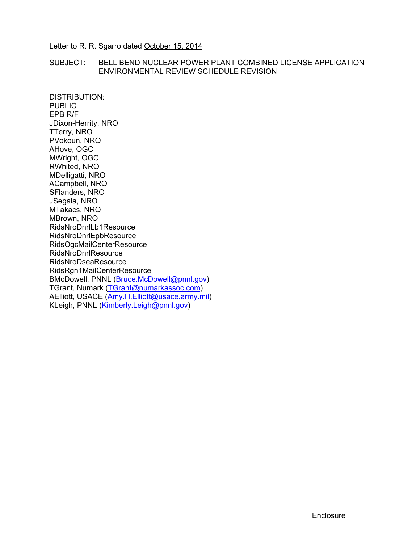Letter to R. R. Sgarro dated October 15, 2014

# SUBJECT: BELL BEND NUCLEAR POWER PLANT COMBINED LICENSE APPLICATION ENVIRONMENTAL REVIEW SCHEDULE REVISION

DISTRIBUTION: PUBLIC EPB R/F JDixon-Herrity, NRO TTerry, NRO PVokoun, NRO AHove, OGC MWright, OGC RWhited, NRO MDelligatti, NRO ACampbell, NRO SFlanders, NRO JSegala, NRO MTakacs, NRO MBrown, NRO RidsNroDnrlLb1Resource RidsNroDnrlEpbResource RidsOgcMailCenterResource RidsNroDnrlResource RidsNroDseaResource RidsRgn1MailCenterResource BMcDowell, PNNL (Bruce.McDowell@pnnl.gov) TGrant, Numark (TGrant@numarkassoc.com) AElliott, USACE (Amy.H.Elliott@usace.army.mil) KLeigh, PNNL (Kimberly.Leigh@pnnl.gov)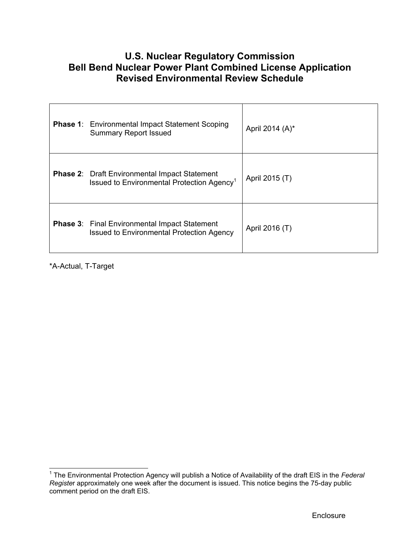# **U.S. Nuclear Regulatory Commission Bell Bend Nuclear Power Plant Combined License Application Revised Environmental Review Schedule**

| <b>Phase 1:</b> Environmental Impact Statement Scoping<br><b>Summary Report Issued</b>                         | April 2014 (A)* |
|----------------------------------------------------------------------------------------------------------------|-----------------|
| <b>Phase 2: Draft Environmental Impact Statement</b><br>Issued to Environmental Protection Agency <sup>1</sup> | April 2015 (T)  |
| <b>Phase 3: Final Environmental Impact Statement</b><br><b>Issued to Environmental Protection Agency</b>       | April 2016 (T)  |

\*A-Actual, T-Target

 1 The Environmental Protection Agency will publish a Notice of Availability of the draft EIS in the *Federal Registe*r approximately one week after the document is issued. This notice begins the 75-day public comment period on the draft EIS.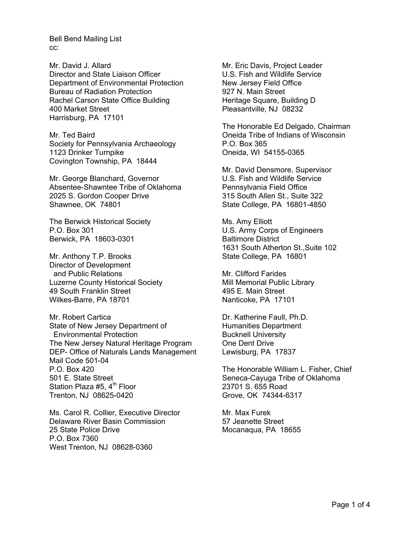Mr. David J. Allard Director and State Liaison Officer Department of Environmental Protection Bureau of Radiation Protection Rachel Carson State Office Building 400 Market Street Harrisburg, PA 17101

Mr. Ted Baird Society for Pennsylvania Archaeology 1123 Drinker Turnpike Covington Township, PA 18444

Mr. George Blanchard, Governor Absentee-Shawntee Tribe of Oklahoma 2025 S. Gordon Cooper Drive Shawnee, OK 74801

The Berwick Historical Society P.O. Box 301 Berwick, PA 18603-0301

Mr. Anthony T.P. Brooks Director of Development and Public Relations Luzerne County Historical Society 49 South Franklin Street Wilkes-Barre, PA 18701

Mr. Robert Cartica State of New Jersey Department of Environmental Protection The New Jersey Natural Heritage Program DEP- Office of Naturals Lands Management Mail Code 501-04 P.O. Box 420 501 E. State Street Station Plaza #5,  $4<sup>th</sup>$  Floor Trenton, NJ 08625-0420

Ms. Carol R. Collier, Executive Director Delaware River Basin Commission 25 State Police Drive P.O. Box 7360 West Trenton, NJ 08628-0360

Mr. Eric Davis, Project Leader U.S. Fish and Wildlife Service New Jersey Field Office 927 N. Main Street Heritage Square, Building D Pleasantville, NJ 08232

The Honorable Ed Delgado, Chairman Oneida Tribe of Indians of Wisconsin P.O. Box 365 Oneida, WI 54155-0365

Mr. David Densmore, Supervisor U.S. Fish and Wildlife Service Pennsylvania Field Office 315 South Allen St., Suite 322 State College, PA 16801-4850

Ms. Amy Elliott U.S. Army Corps of Engineers Baltimore District 1631 South Atherton St.,Suite 102 State College, PA 16801

Mr. Clifford Farides Mill Memorial Public Library 495 E. Main Street Nanticoke, PA 17101

Dr. Katherine Faull, Ph.D. Humanities Department Bucknell University One Dent Drive Lewisburg, PA 17837

The Honorable William L. Fisher, Chief Seneca-Cayuga Tribe of Oklahoma 23701 S. 655 Road Grove, OK 74344-6317

Mr. Max Furek 57 Jeanette Street Mocanaqua, PA 18655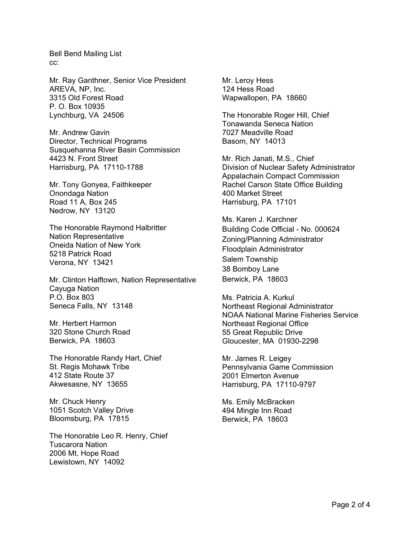Mr. Ray Ganthner, Senior Vice President AREVA, NP, Inc. 3315 Old Forest Road P. O. Box 10935 Lynchburg, VA 24506

Mr. Andrew Gavin Director, Technical Programs Susquehanna River Basin Commission 4423 N. Front Street Harrisburg, PA 17110-1788

Mr. Tony Gonyea, Faithkeeper Onondaga Nation Road 11 A, Box 245 Nedrow, NY 13120

The Honorable Raymond Halbritter Nation Representative Oneida Nation of New York 5218 Patrick Road Verona, NY 13421

Mr. Clinton Halftown, Nation Representative Cayuga Nation P.O. Box 803 Seneca Falls, NY 13148

Mr. Herbert Harmon 320 Stone Church Road Berwick, PA 18603

The Honorable Randy Hart, Chief St. Regis Mohawk Tribe 412 State Route 37 Akwesasne, NY 13655

Mr. Chuck Henry 1051 Scotch Valley Drive Bloomsburg, PA 17815

The Honorable Leo R. Henry, Chief Tuscarora Nation 2006 Mt. Hope Road Lewistown, NY 14092

Mr. Leroy Hess 124 Hess Road Wapwallopen, PA 18660

The Honorable Roger Hill, Chief Tonawanda Seneca Nation 7027 Meadville Road Basom, NY 14013

Mr. Rich Janati, M.S., Chief Division of Nuclear Safety Administrator Appalachain Compact Commission Rachel Carson State Office Building 400 Market Street Harrisburg, PA 17101

Ms. Karen J. Karchner Building Code Official - No. 000624 Zoning/Planning Administrator Floodplain Administrator Salem Township 38 Bomboy Lane Berwick, PA 18603

Ms. Patricia A. Kurkul Northeast Regional Administrator NOAA National Marine Fisheries Service Northeast Regional Office 55 Great Republic Drive Gloucester, MA 01930-2298

Mr. James R. Leigey Pennsylvania Game Commission 2001 Elmerton Avenue Harrisburg, PA 17110-9797

Ms. Emily McBracken 494 Mingle Inn Road Berwick, PA 18603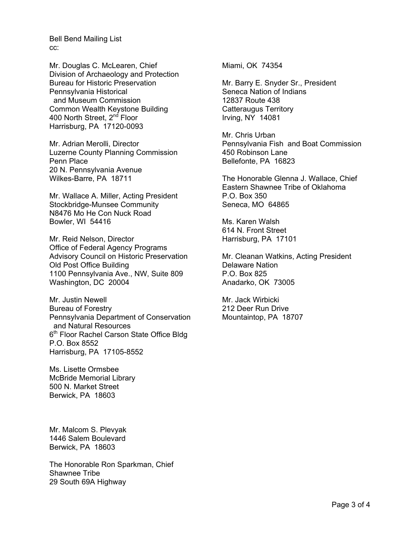Mr. Douglas C. McLearen, Chief Division of Archaeology and Protection Bureau for Historic Preservation Pennsylvania Historical and Museum Commission Common Wealth Keystone Building 400 North Street, 2<sup>nd</sup> Floor Harrisburg, PA 17120-0093

Mr. Adrian Merolli, Director Luzerne County Planning Commission Penn Place 20 N. Pennsylvania Avenue Wilkes-Barre, PA 18711

Mr. Wallace A. Miller, Acting President Stockbridge-Munsee Community N8476 Mo He Con Nuck Road Bowler, WI 54416

Mr. Reid Nelson, Director Office of Federal Agency Programs Advisory Council on Historic Preservation Old Post Office Building 1100 Pennsylvania Ave., NW, Suite 809 Washington, DC 20004

Mr. Justin Newell Bureau of Forestry Pennsylvania Department of Conservation and Natural Resources 6<sup>th</sup> Floor Rachel Carson State Office Bldg P.O. Box 8552 Harrisburg, PA 17105-8552

Ms. Lisette Ormsbee McBride Memorial Library 500 N. Market Street Berwick, PA 18603

Mr. Malcom S. Plevyak 1446 Salem Boulevard Berwick, PA 18603

The Honorable Ron Sparkman, Chief Shawnee Tribe 29 South 69A Highway

Miami, OK 74354

Mr. Barry E. Snyder Sr., President Seneca Nation of Indians 12837 Route 438 Catteraugus Territory Irving, NY 14081

Mr. Chris Urban Pennsylvania Fish and Boat Commission 450 Robinson Lane Bellefonte, PA 16823

The Honorable Glenna J. Wallace, Chief Eastern Shawnee Tribe of Oklahoma P.O. Box 350 Seneca, MO 64865

Ms. Karen Walsh 614 N. Front Street Harrisburg, PA 17101

Mr. Cleanan Watkins, Acting President Delaware Nation P.O. Box 825 Anadarko, OK 73005

Mr. Jack Wirbicki 212 Deer Run Drive Mountaintop, PA 18707